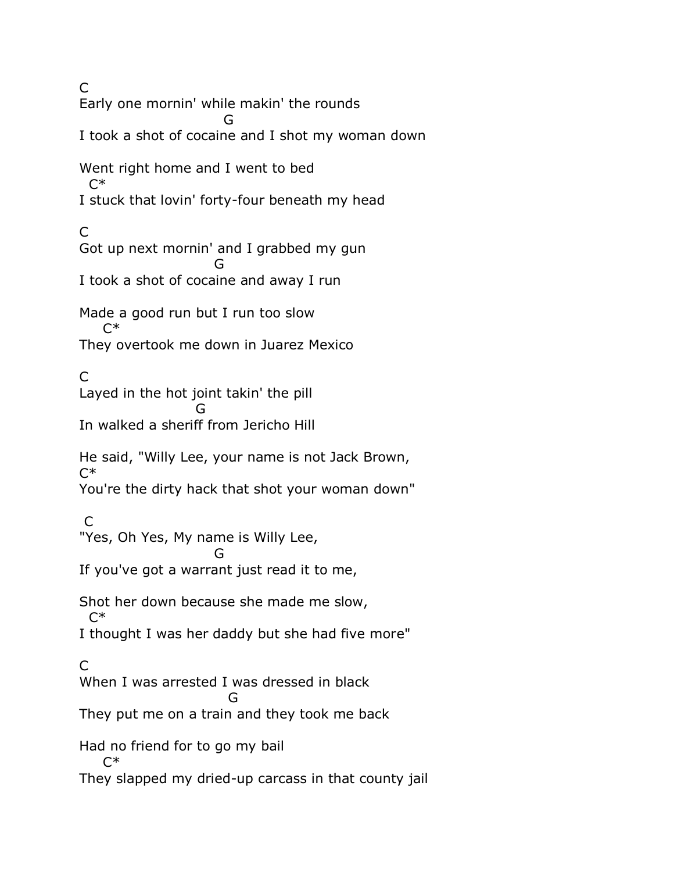$\mathsf{C}$ Early one mornin' while makin' the rounds **GREET CONSTRUCTS** I took a shot of cocaine and I shot my woman down Went right home and I went to bed  $C^*$ I stuck that lovin' forty-four beneath my head C Got up next mornin' and I grabbed my gun **Green Contracts** I took a shot of cocaine and away I run Made a good run but I run too slow  $C^*$ They overtook me down in Juarez Mexico C Layed in the hot joint takin' the pill **Graduate** Graduate Graduate G In walked a sheriff from Jericho Hill He said, "Willy Lee, your name is not Jack Brown, C\* You're the dirty hack that shot your woman down"  $\mathsf{C}$ "Yes, Oh Yes, My name is Willy Lee, **Green Contracts** If you've got a warrant just read it to me, Shot her down because she made me slow,  $C^*$ I thought I was her daddy but she had five more"  $\mathsf{C}$ When I was arrested I was dressed in black **Graduate** Graduate Graduate G They put me on a train and they took me back Had no friend for to go my bail C\* They slapped my dried-up carcass in that county jail